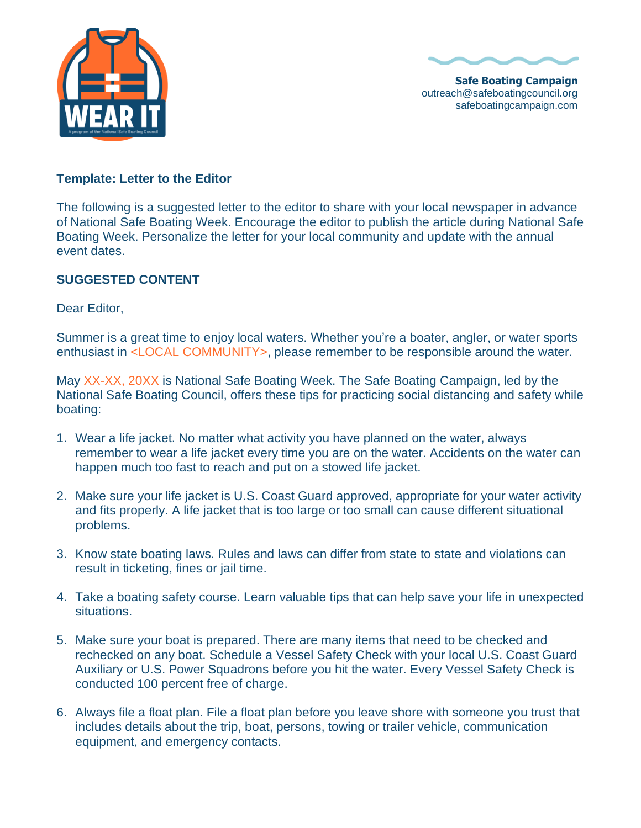



**Safe Boating Campaign** outreach@safeboatingcouncil.org safeboatingcampaign.com

## **Template: Letter to the Editor**

The following is a suggested letter to the editor to share with your local newspaper in advance of National Safe Boating Week. Encourage the editor to publish the article during National Safe Boating Week. Personalize the letter for your local community and update with the annual event dates.

## **SUGGESTED CONTENT**

Dear Editor,

Summer is a great time to enjoy local waters. Whether you're a boater, angler, or water sports enthusiast in <LOCAL COMMUNITY>, please remember to be responsible around the water.

May XX-XX, 20XX is National Safe Boating Week. The Safe Boating Campaign, led by the National Safe Boating Council, offers these tips for practicing social distancing and safety while boating:

- 1. Wear a life jacket. No matter what activity you have planned on the water, always remember to wear a life jacket every time you are on the water. Accidents on the water can happen much too fast to reach and put on a stowed life jacket.
- 2. Make sure your life jacket is U.S. Coast Guard approved, appropriate for your water activity and fits properly. A life jacket that is too large or too small can cause different situational problems.
- 3. Know state boating laws. Rules and laws can differ from state to state and violations can result in ticketing, fines or jail time.
- 4. Take a boating safety course. Learn valuable tips that can help save your life in unexpected situations.
- 5. Make sure your boat is prepared. There are many items that need to be checked and rechecked on any boat. Schedule a Vessel Safety Check with your local U.S. Coast Guard Auxiliary or U.S. Power Squadrons before you hit the water. Every Vessel Safety Check is conducted 100 percent free of charge.
- 6. Always file a float plan. File a float plan before you leave shore with someone you trust that includes details about the trip, boat, persons, towing or trailer vehicle, communication equipment, and emergency contacts.